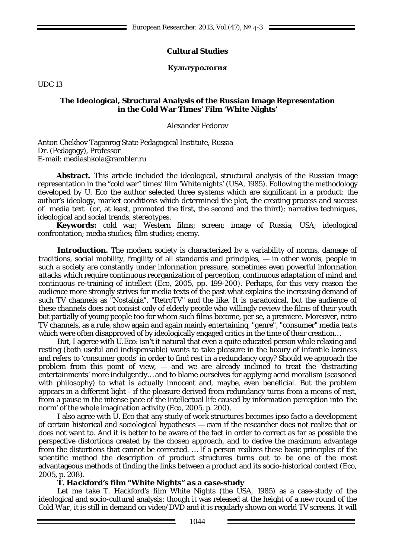# **Cultural Studies**

## **Культурология**

UDC 13

## **The Ideological, Structural Analysis of the Russian Image Representation in the Cold War Times' Film 'White Nights'**

Alexander Fedorov

Anton Chekhov Taganrog State Pedagogical Institute, Russia Dr. (Pedagogy), Professor E-mail: mediashkola@rambler.ru

**Abstract.** This article included the ideological, structural analysis of the Russian image representation in the "cold war" times' film 'White nights' (USA, 1985). Following the methodology developed by U. Eco the author selected three *systems* which are significant in a product: the author's ideology, market conditions which determined the plot, the creating process and success of media text (or, at least, promoted the first, the second and the third); narrative techniques, ideological and social trends, stereotypes.

**Keywords:** cold war; Western films; screen; image of Russia; USA; ideological confrontation; media studies; film studies; enemy.

Introduction. The modern society is characterized by a variability of norms, damage of traditions, social mobility, fragility of all standards and principles, — in other words, people in such a society are constantly under information pressure, sometimes even powerful information attacks which require continuous reorganization of perception, continuous adaptation of mind and continuous re-training of intellect (Eco, 2005, pp. 199-200). Perhaps, for this very reason the audience more strongly strives for media texts of the past what explains the increasing demand of such TV channels as "Nostalgia", "RetroTV" and the like. It is paradoxical, but the audience of these channels does not consist only of elderly people who willingly review the films of their youth but partially of young people too for whom such films become, per se, a premiere. Moreover, retro TV channels, as a rule, show again and again mainly entertaining, "genre", "consumer" media texts which were often disapproved of by ideologically engaged critics in the time of their creation…

But, I ageree with U.Eco: isn't it natural that even a quite educated person while relaxing and resting (both useful and indispensable) wants to take pleasure in the luxury of infantile laziness and refers to 'consumer goods' in order to find rest in a redundancy orgy? Should we approach the problem from this point of view,  $-$  and we are already inclined to treat the 'distracting entertainments' more indulgently… and to blame ourselves for applying acrid moralism (seasoned with philosophy) to what is actually innocent and, maybe, even beneficial. But the problem appears in a different light - if the pleasure derived from redundancy turns from a means of rest, from a pause in the intense pace of the intellectual life caused by information perception into *'the norm'* of the whole imagination activity (Eco, 2005, p. 200).

I also agree with U. Eco that any study of work structures becomes *ipso facto* a development of certain historical and sociological hypotheses — even if the researcher does not realize that or does not want to. And it is better to be aware of the fact in order to correct as far as possible the perspective distortions created by the chosen approach, and to derive the maximum advantage from the distortions that cannot be corrected. … If a person realizes these basic principles of the scientific method the description of product structures turns out to be one of the most advantageous methods of finding the links between a product and its socio-historical context (Eco, 2005, p. 208).

# *T. Hackford's film "White Nights" as a case-study*

Let me take T. Hackford's film *White Nights* (the USA, 1985) as a case-study of the ideological and socio-cultural analysis: though it was released at the height of a new round of the *Cold War,* it is still in demand on video/DVD and it is regularly shown on world TV screens. It will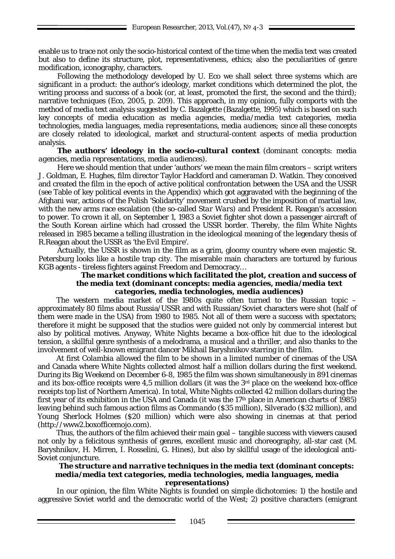enable us to trace not only the socio-historical context of the time when the media text was created but also to define its structure, plot, representativeness, ethics; also the peculiarities of genre modification, iconography, characters.

Following the methodology developed by U. Eco we shall select three *systems* which are significant in a product: the author's ideology, market conditions which determined the plot, the writing process and success of a book (or, at least, promoted the first, the second and the third); narrative techniques (Eco, 2005, p. 209). This approach, in my opinion, fully comports with the method of media text analysis suggested by C. Bazalgette (Bazalgette, 1995) which is based on such key concepts of media education as *media agencies, media/media text categories, media technologies, media languages, media representations, media audiences;* since all these concepts are closely related to ideological, market and structural-content aspects of media production analysis.

*The authors' ideology in the socio-cultural* **context** *(dominant concepts: media agencies, media representations, media audiences).*

Here we should mention that under 'authors' we mean the main film creators – script writers J. Goldman, E. Hughes, film director Taylor Hackford and cameraman D. Watkin. They conceived and created the film in the epoch of active political confrontation between the USA and the USSR (see Table of key political events in the Appendix) which got aggravated with the beginning of the Afghani war, actions of the Polish 'Solidarity' movement crushed by the imposition of martial law, with the new arms race escalation (the so-called *Star Wars*) and President R. Reagan's accession to power. To crown it all, on September 1, 1983 a Soviet fighter shot down a passenger aircraft of the South Korean airline which had crossed the USSR border. Thereby, the film *White Nights*  released in 1985 became a telling illustration in the ideological meaning of the legendary thesis of R.Reagan about the USSR as '*the Evil Empire'.* 

Actually, the USSR is shown in the film as a grim, gloomy country where even majestic St. Petersburg looks like a hostile trap city. The miserable main characters are tortured by furious KGB agents - tireless fighters against Freedom and Democracy…

#### *The market conditions which facilitated the plot, creation and success of the media text (dominant concepts: media agencies, media/media text categories, media technologies, media audiences)*

The western media market of the 1980s quite often turned to the Russian topic – approximately 80 films about Russia/USSR and with Russian/Soviet characters were shot (half of them were made in the USA) from 1980 to 1985. Not all of them were a success with spectators; therefore it might be supposed that the studios were guided not only by commercial interest but also by political motives. Anyway, *White Nights* became a box-office hit due to the ideological tension, a skillful genre synthesis of a melodrama, a musical and a thriller, and also thanks to the involvement of well-known emigrant dancer Mikhail Baryshnikov starring in the film.

At first *Colambia* allowed the film to be shown in a limited number of cinemas of the USA and Canada where *White Nights* collected almost half a million dollars during the first weekend. During its *Big Weekend* on December 6-8, 1985 the film was shown simultaneously in 891 cinemas and its box-office receipts were 4,5 million dollars (it was the 3<sup>rd</sup> place on the weekend box-office receipts top list of Northern America). In total, *White Nights* collected 42 million dollars during the first year of its exhibition in the USA and Canada (it was the 17th place in American charts of 1985) leaving behind such famous action films as *Commando* (\$35 million), *Silverado* (\$32 million), and *Young Sherlock Holmes* (\$20 million) which were also showing in cinemas at that period (http://www2.boxofficemojo.com).

Thus, the authors of the film achieved their main goal – tangible success with viewers caused not only by a felicitous synthesis of genres, excellent music and choreography, all-star cast (M. Baryshnikov, H. Mirren, I. Rosselini, G. Hines), but also by skillful usage of the ideological anti-Soviet conjuncture.

#### *The structure and narrative techniques in the media text (dominant concepts: media/media text categories, media technologies, media languages, media representations)*

In our opinion, the film *White Nights* is founded on simple dichotomies: 1) the hostile and aggressive Soviet world and the democratic world of the West; 2) positive characters (emigrant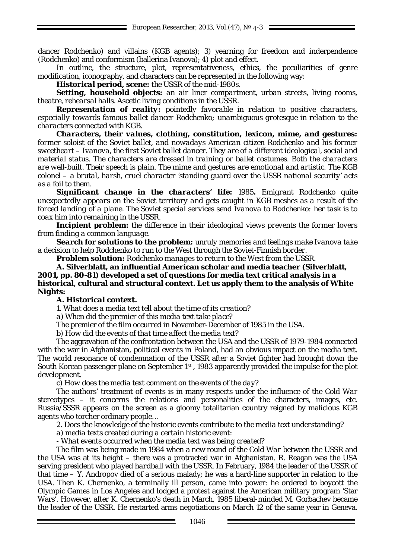dancer Rodchenko) and villains (KGB agents); 3) yearning for freedom and inderpendence (Rodchenko) and conformism (ballerina Ivanova); 4) plot and effect.

In outline, the structure, plot, representativeness, ethics, the peculiarities of genre modification, iconography, and characters can be represented in the following way:

*Historical period, scene: the USSR of the mid-1980s.*

*Setting, household objects: an air liner compartment, urban streets, living rooms, theatre, rehearsal halls. Ascetic living conditions in the USSR.*

*Representation of reality: pointedly favorable in relation to positive characters, especially towards famous ballet dancer Rodchenko; unambiguous grotesque in relation to the characters connected with KGB.*

*Characters, their values, clothing, constitution, lexicon, mime, and gestures: former soloist of the Soviet ballet, and nowadays American citizen Rodchenko and his former sweetheart – Ivanova, the first Soviet ballet dancer. They are of a different ideological, social and material status. The characters are dressed in training or ballet costumes. Both the characters are well-built. Their speech is plain. The mime and gestures are emotional and artistic. The KGB colonel – a brutal, harsh, cruel character 'standing guard over the USSR national security' acts as a foil to them.*

*Significant change in the characters' life: 1985. Emigrant Rodchenko quite unexpectedly appears on the Soviet territory and gets caught in KGB meshes as a result of the forced landing of a plane. The Soviet special services send Ivanova to Rodchenko: her task is to coax him into remaining in the USSR.*

*Incipient problem: the difference in their ideological views prevents the former lovers from finding a common language.*

*Search for solutions to the problem: unruly memories and feelings make Ivanova take a decision to help Rodchenko to run to the West through the Soviet-Finnish border.*

*Problem solution: Rodchenko manages to return to the West from the USSR.*

**A. Silverblatt, an influential American scholar and media teacher (Silverblatt, 2001, pp. 80-81) developed a set of questions for media text critical analysis in a historical, cultural and structural context. Let us apply them to the analysis of** *White Nights:*

# *A. Historical context.*

*1. What does a media text tell about the time of its creation?*

*a) When did the premier of this media text take place?*

The premier of the film occurred in November-December of 1985 in the USA.

*b) How did the events of that time affect the media text?*

The aggravation of the confrontation between the USA and the USSR of 1979-1984 connected with the war in Afghanistan, political events in Poland, had an obvious impact on the media text. The world resonance of condemnation of the USSR after a Soviet fighter had brought down the South Korean passenger plane on September 1st , 1983 apparently provided the impulse for the plot development.

*c) How does the media text comment on the events of the day?*

The authors' treatment of events is in many respects under the influence of the *Cold War*  stereotypes – it concerns the relations and personalities of the characters, images, etc. Russia/SSSR appears on the screen as a gloomy totalitarian country reigned by malicious KGB agents who torcher ordinary people…

*2. Does the knowledge of the historic events contribute to the media text understanding?*

*a) media texts created during a certain historic event:*

*- What events occurred when the media text was being created?*

The film was being made in 1984 when a new round of the *Cold War* between the USSR and the USA was at its height – there was a protracted war in Afghanistan. R. Reagan was the USA serving president who *played hardball* with the USSR. In February, 1984 the leader of the USSR of that time – Y. Andropov died of a serious malady; he was a hard-line supporter in relation to the USA. Then K. Chernenko, a terminally ill person, came into power: he ordered to boycott the Olympic Games in Los Angeles and lodged a protest against the American military program 'Star Wars'. However, after K. Chernenko's death in March, 1985 liberal-minded M. Gorbachev became the leader of the USSR. He restarted arms negotiations on March 12 of the same year in Geneva.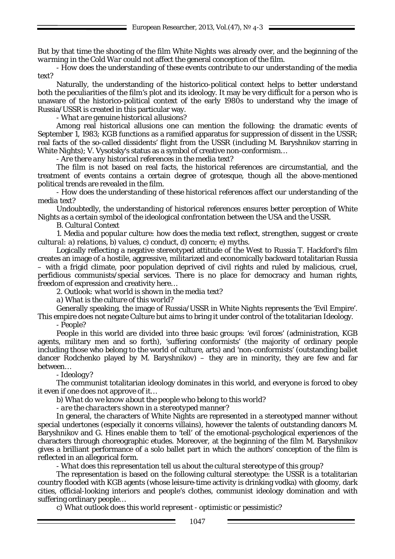But by that time the shooting of the film *White Nights* was already over, and the beginning of the *warming* in the *Cold War* could not affect the general conception of the film.

- *How does the understanding of these events contribute to our understanding of the media text?*

Naturally, the understanding of the historico-political context helps to better understand both the peculiarities of the film's plot and its ideology. It may be very difficult for a person who is unaware of the historico-political context of the early 1980s to understand why the image of Russia/USSR is created in this particular way.

- *What are genuine historical allusions?*

Among real historical allusions one can mention the following: the dramatic events of September 1, 1983; KGB functions as a ramified apparatus for suppression of dissent in the USSR; real facts of the so-called dissidents' flight from the USSR (including M. Baryshnikov starring in *White Nights*); V. Vysotsky's status as a symbol of creative non-conformism...

- *Are there any historical references in the media text?*

The film is not based on real facts, the historical references are circumstantial, and the treatment of events contains a certain degree of grotesque, though all the above-mentioned political trends are revealed in the film.

- *How does the understanding of these historical references affect our understanding of the media text?*

Undoubtedly, the understanding of historical references ensures better perception of *White Nights* as a certain symbol of the ideological confrontation between the USA and the USSR.

*B. Cultural Context*

*1. Media and popular culture: how does the media text reflect, strengthen, suggest or create cultural: a) relations, b) values, c) conduct, d) concern; e) myths.*

Logically reflecting a negative stereotyped attitude of the West to Russia T. Hackford's film creates an image of a hostile, aggressive, militarized and economically backward totalitarian Russia – with a frigid climate, poor population deprived of civil rights and ruled by malicious, cruel, perfidious communists/special services. There is no place for democracy and human rights, freedom of expression and creativity here…

*2. Outlook: what world is shown in the media text?*

*a) What is the culture of this world?*

Generally speaking, the image of Russia/USSR in *White Nights* represents the 'Evil Empire'. This empire does not negate Culture but aims to bring it under control of the totalitarian Ideology.

- *People?*

People in this world are divided into three basic groups: 'evil forces' (administration, KGB agents, military men and so forth), 'suffering conformists' (the majority of ordinary people including those who belong to the world of culture, arts) and 'non-conformists' (outstanding ballet dancer Rodchenko played by M. Baryshnikov) – they are in minority, they are few and far between…

#### - *Ideology?*

The communist totalitarian ideology dominates in this world, and everyone is forced to obey it even if one does not approve of it…

*b) What do we know about the people who belong to this world?*

*- are the characters shown in a stereotyped manner?*

In general, the characters of *White Nights* are represented in a stereotyped manner without special undertones (especially it concerns villains), however the talents of outstanding dancers M. Baryshnikov and G. Hines enable them to 'tell' of the emotional-psychological experiences of the characters through choreographic etudes. Moreover, at the beginning of the film M. Baryshnikov gives a brilliant performance of a solo ballet part in which the authors' conception of the film is reflected in an allegorical form.

*- What does this representation tell us about the cultural stereotype of this group?*

The representation is based on the following cultural stereotype: the USSR is a totalitarian country flooded with KGB agents (whose leisure-time activity is drinking vodka) with gloomy, dark cities, official-looking interiors and people's clothes, communist ideology domination and with suffering ordinary people…

*c) What outlook does this world represent - optimistic or pessimistic?*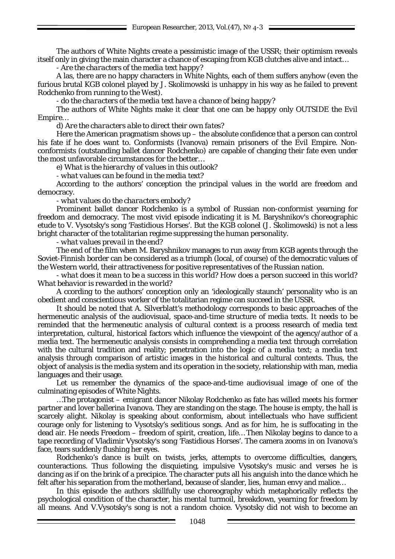The authors of *White Nights* create a pessimistic image of the USSR; their optimism reveals itself only in giving the main character a chance of escaping from KGB clutches alive and intact…

*- Are the characters of the media text happy?*

A las, there are no happy characters in *White Nights,* each of them suffers anyhow (even the furious brutal KGB colonel played by J. Skolimowski is unhappy in his way as he failed to prevent Rodchenko from running to the West).

*- do the characters of the media text have a chance of being happy?*

The authors of *White Nights* make it clear that one can be happy only OUTSIDE *the Evil Empire…*

*d) Are the characters able to direct their own fates?*

Here the American pragmatism shows up – the absolute confidence that a person can control his fate if he does want to. Conformists (Ivanova) remain prisoners of the *Evil Empire.* Nonconformists (outstanding ballet dancer Rodchenko) are capable of changing their fate even under the most unfavorable circumstances for the better…

*e) What is the hierarchy of values in this outlook?*

*- what values can be found in the media text?*

According to the authors' conception the principal values in the world are freedom and democracy.

*- what values do the characters embody?*

Prominent ballet dancer Rodchenko is a symbol of Russian non-conformist yearning for freedom and democracy. The most vivid episode indicating it is M. Baryshnikov's choreographic etude to V. Vysotsky's song 'Fastidious Horses'. But the KGB colonel (J. Skolimowski) is not a less bright character of the totalitarian regime suppressing the human personality.

- *what values prevail in the end?*

The end of the film when M. Baryshnikov manages to run away from KGB agents through the Soviet-Finnish border can be considered as a triumph (local, of course) of the democratic values of the Western world, their attractiveness for positive representatives of the Russian nation.

- *what does it mean to be a success in this world? How does a person succeed in this world? What behavior is rewarded in the world?*

A ccording to the authors' conception only an 'ideologically staunch' personality who is an obedient and conscientious worker of the totalitarian regime can succeed in the USSR.

It should be noted that A. Silverblatt's methodology corresponds to basic approaches of the hermeneutic analysis of the audiovisual, space-and-time structure of media texts. It needs to be reminded that the *hermeneutic analysis of cultural context* is a process research of media text interpretation, cultural, historical factors which influence the viewpoint of the agency/author of a media text. The hermeneutic analysis consists in comprehending a media text through correlation with the cultural tradition and reality; penetration into the logic of a media text; a media text analysis through comparison of artistic images in the historical and cultural contexts. Thus, the object of analysis is the media system and its operation in the society, relationship with man, media languages and their usage.

Let us remember the dynamics of the space-and-time audiovisual image of one of the culminating episodes of *White Nights.*

…The protagonist – emigrant dancer Nikolay Rodchenko as fate has willed meets his former partner and lover ballerina Ivanova. They are standing on the stage. The house is empty, the hall is scarcely alight. Nikolay is speaking about conformism, about intellectuals who have sufficient courage only for listening to Vysotsky's *seditious* songs. And as for him, he is suffocating in the dead air. He needs Freedom – freedom of spirit, creation, life… Then Nikolay begins to dance to a tape recording of Vladimir Vysotsky's song 'Fastidious Horses'. The camera zooms in on Ivanova's face, tears suddenly flushing her eyes.

Rodchenko's dance is built on twists, jerks, attempts to overcome difficulties, dangers, counteractions. Thus following the disquieting, impulsive Vysotsky's music and verses he is dancing as if on the brink of a precipice. The character puts all his anguish into the dance which he felt after his separation from the motherland, because of slander, lies, human envy and malice…

In this episode the authors skillfully use choreography which metaphorically reflects the psychological condition of the character, his mental turmoil, breakdown, yearning for freedom by all means. And V.Vysotsky's song is not a random choice. Vysotsky did not wish to become an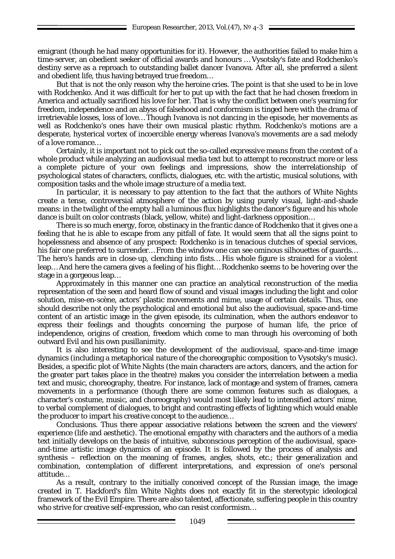emigrant (though he had many opportunities for it). However, the authorities failed to make him a time-server, an obedient seeker of official awards and honours … Vysotsky's fate and Rodchenko's destiny serve as a reproach to outstanding ballet dancer Ivanova. After all, she preferred a silent and obedient life, thus having betrayed true freedom…

But that is not the only reason why the heroine cries. The point is that she used to be in love with Rodchenko. And it was difficult for her to put up with the fact that he had chosen freedom in America and actually sacrificed his love for her. That is why the conflict between one's yearning for freedom, independence and an abyss of falsehood and conformism is tinged here with the drama of irretrievable losses, loss of love… Though Ivanova is not dancing in the episode, her movements as well as Rodchenko's ones have their own musical plastic rhythm. Rodchenko's motions are a desperate, hysterical vortex of incoercible energy whereas Ivanova's movements are a sad melody of a love romance…

Certainly, it is important not to *pick out* the so-called *expressive means* from the context of a whole product while analyzing an audiovisual media text but to attempt to reconstruct more or less a complete picture of your own feelings and impressions, show the interrelationship of psychological states of characters, conflicts, dialogues, etc. with the artistic, musical solutions, with composition tasks and the whole image structure of a media text.

In particular, it is necessary to pay attention to the fact that the authors of *White Nights*  create a tense, controversial atmosphere of the action by using purely visual, light-and-shade means: in the twilight of the empty hall a luminous flux highlights the dancer's figure and his whole dance is built on color contrasts (black, yellow, white) and light-darkness opposition…

There is so much energy, force, obstinacy in the frantic dance of Rodchenko that it gives one a feeling that he is able to escape from any pitfall of fate. It would seem that all the signs point to hopelessness and absence of any prospect: Rodchenko is in tenacious clutches of special services, his fair one preferred to surrender... From the window one can see ominous silhouettes of guards... The hero's hands are in close-up, clenching into fists… His whole figure is strained for a violent leap… And here the camera gives a feeling of his flight… Rodchenko seems to be hovering over the stage in a gorgeous leap…

Approximately in this manner one can practice an analytical *reconstruction* of the media representation of the seen and heard flow of sound and visual images including the light and color solution, mise-en-scène, actors' plastic movements and mime, usage of certain details. Thus, one should describe not only the psychological and emotional but also the audiovisual, space-and-time content of an artistic image in the given episode, its culmination, when the authors endeavor to express their feelings and thoughts concerning the purpose of human life, the price of independence, origins of creation, freedom which come to man through his overcoming of both outward Evil and his own pusillanimity.

It is also interesting to see the development of the audiovisual, space-and-time image dynamics (including a metaphorical nature of the choreographic composition to Vysotsky's music). Besides, a specific plot of *White Nights* (the main characters are actors, dancers, and the action for the greater part takes place in the theatre) makes you consider the interrelation between a media text and music, choreography, theatre. For instance, lack of montage and system of frames, camera movements in a performance (though there are some common features such as dialogues, a character's costume, music, and choreography) would most likely lead to intensified actors' mime, to verbal complement of dialogues, to bright and contrasting effects of lighting which would enable the producer to impart his creative concept to the audience…

Conclusions. Thus there appear associative relations between the screen and the viewers' experience (life and aesthetic). The emotional empathy with characters and the authors of a media text initially develops on the basis of intuitive, subconscious perception of the audiovisual, spaceand-time artistic image dynamics of an episode. It is followed by the process of analysis and synthesis – reflection on the meaning of frames, angles, shots, etc.; their generalization and combination, contemplation of different interpretations, and expression of one's personal attitude…

As a result, contrary to the initially conceived concept of the Russian image, the image created in T. Hackford's film *White Nights* does not exactly fit in the stereotypic ideological framework of the *Evil Empire.* There are also talented, affectionate, suffering people in this country who strive for creative self-expression, who can resist conformism…